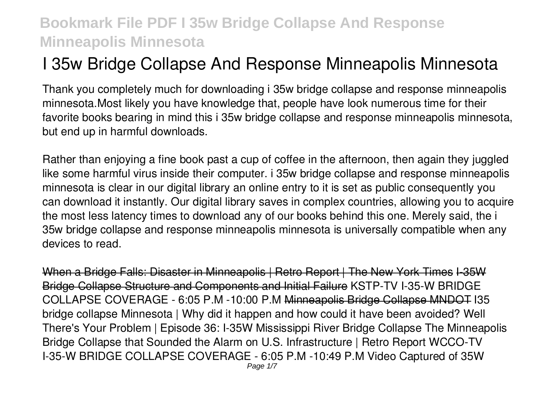# **I 35w Bridge Collapse And Response Minneapolis Minnesota**

Thank you completely much for downloading **i 35w bridge collapse and response minneapolis minnesota**.Most likely you have knowledge that, people have look numerous time for their favorite books bearing in mind this i 35w bridge collapse and response minneapolis minnesota, but end up in harmful downloads.

Rather than enjoying a fine book past a cup of coffee in the afternoon, then again they juggled like some harmful virus inside their computer. **i 35w bridge collapse and response minneapolis minnesota** is clear in our digital library an online entry to it is set as public consequently you can download it instantly. Our digital library saves in complex countries, allowing you to acquire the most less latency times to download any of our books behind this one. Merely said, the i 35w bridge collapse and response minneapolis minnesota is universally compatible when any devices to read.

When a Bridge Falls: Disaster in Minneapolis | Retro Report | The New York Times I-35W Bridge Collapse Structure and Components and Initial Failure *KSTP-TV I-35-W BRIDGE COLLAPSE COVERAGE - 6:05 P.M -10:00 P.M* Minneapolis Bridge Collapse MNDOT I35 bridge collapse Minnesota | Why did it happen and how could it have been avoided? *Well There's Your Problem | Episode 36: I-35W Mississippi River Bridge Collapse The Minneapolis Bridge Collapse that Sounded the Alarm on U.S. Infrastructure | Retro Report* WCCO-TV I-35-W BRIDGE COLLAPSE COVERAGE - 6:05 P.M -10:49 P.M *Video Captured of 35W*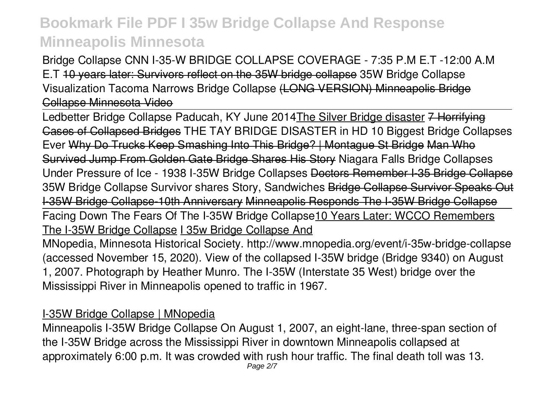*Bridge Collapse* CNN I-35-W BRIDGE COLLAPSE COVERAGE - 7:35 P.M E.T -12:00 A.M E.T 10 years later: Survivors reflect on the 35W bridge collapse *35W Bridge Collapse Visualization Tacoma Narrows Bridge Collapse* (LONG VERSION) Minneapolis Bridge Collapse Minnesota Video

Ledbetter Bridge Collapse Paducah, KY June 2014The Silver Bridge disaster 7 Horrifying Cases of Collapsed Bridges *THE TAY BRIDGE DISASTER in HD 10 Biggest Bridge Collapses Ever* Why Do Trucks Keep Smashing Into This Bridge? | Montague St Bridge Man Who Survived Jump From Golden Gate Bridge Shares His Story Niagara Falls Bridge Collapses Under Pressure of Ice - 1938 *I-35W Bridge Collapses* Doctors Remember I-35 Bridge Collapse 35W Bridge Collapse Survivor shares Story, Sandwiches Bridge Collapse Survivor Speaks Out I-35W Bridge Collapse-10th Anniversary Minneapolis Responds The I-35W Bridge Collapse Facing Down The Fears Of The I-35W Bridge Collapse10 Years Later: WCCO Remembers The I-35W Bridge Collapse I 35w Bridge Collapse And MNopedia, Minnesota Historical Society. http://www.mnopedia.org/event/i-35w-bridge-collapse (accessed November 15, 2020). View of the collapsed I-35W bridge (Bridge 9340) on August 1, 2007. Photograph by Heather Munro. The I-35W (Interstate 35 West) bridge over the Mississippi River in Minneapolis opened to traffic in 1967.

### I-35W Bridge Collapse | MNopedia

Minneapolis I-35W Bridge Collapse On August 1, 2007, an eight-lane, three-span section of the I-35W Bridge across the Mississippi River in downtown Minneapolis collapsed at approximately 6:00 p.m. It was crowded with rush hour traffic. The final death toll was 13.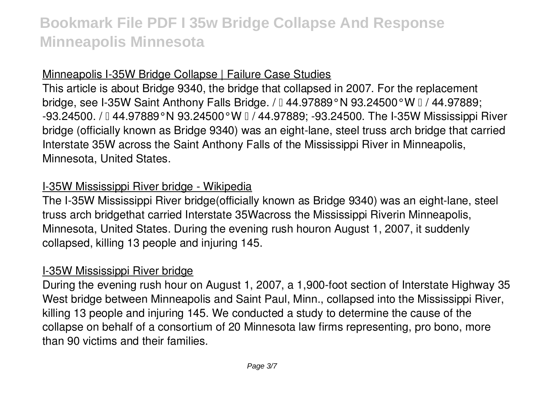### Minneapolis I-35W Bridge Collapse | Failure Case Studies

This article is about Bridge 9340, the bridge that collapsed in 2007. For the replacement bridge, see I-35W Saint Anthony Falls Bridge. /  $\text{I}$  44.97889°N 93.24500°W  $\text{I}$  / 44.97889; -93.24500. / 0 44.97889°N 93.24500°W 0 / 44.97889; -93.24500. The I-35W Mississippi River bridge (officially known as Bridge 9340) was an eight-lane, steel truss arch bridge that carried Interstate 35W across the Saint Anthony Falls of the Mississippi River in Minneapolis, Minnesota, United States.

### I-35W Mississippi River bridge - Wikipedia

The I-35W Mississippi River bridge(officially known as Bridge 9340) was an eight-lane, steel truss arch bridgethat carried Interstate 35Wacross the Mississippi Riverin Minneapolis, Minnesota, United States. During the evening rush houron August 1, 2007, it suddenly collapsed, killing 13 people and injuring 145.

#### I-35W Mississippi River bridge

During the evening rush hour on August 1, 2007, a 1,900-foot section of Interstate Highway 35 West bridge between Minneapolis and Saint Paul, Minn., collapsed into the Mississippi River, killing 13 people and injuring 145. We conducted a study to determine the cause of the collapse on behalf of a consortium of 20 Minnesota law firms representing, pro bono, more than 90 victims and their families.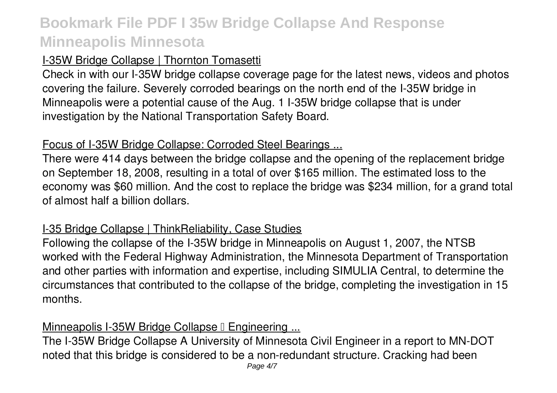## I-35W Bridge Collapse | Thornton Tomasetti

Check in with our I-35W bridge collapse coverage page for the latest news, videos and photos covering the failure. Severely corroded bearings on the north end of the I-35W bridge in Minneapolis were a potential cause of the Aug. 1 I-35W bridge collapse that is under investigation by the National Transportation Safety Board.

#### Focus of I-35W Bridge Collapse: Corroded Steel Bearings ...

There were 414 days between the bridge collapse and the opening of the replacement bridge on September 18, 2008, resulting in a total of over \$165 million. The estimated loss to the economy was \$60 million. And the cost to replace the bridge was \$234 million, for a grand total of almost half a billion dollars.

## I-35 Bridge Collapse | ThinkReliability, Case Studies

Following the collapse of the I-35W bridge in Minneapolis on August 1, 2007, the NTSB worked with the Federal Highway Administration, the Minnesota Department of Transportation and other parties with information and expertise, including SIMULIA Central, to determine the circumstances that contributed to the collapse of the bridge, completing the investigation in 15 months.

### Minneapolis I-35W Bridge Collapse I Engineering ...

The I-35W Bridge Collapse A University of Minnesota Civil Engineer in a report to MN-DOT noted that this bridge is considered to be a non-redundant structure. Cracking had been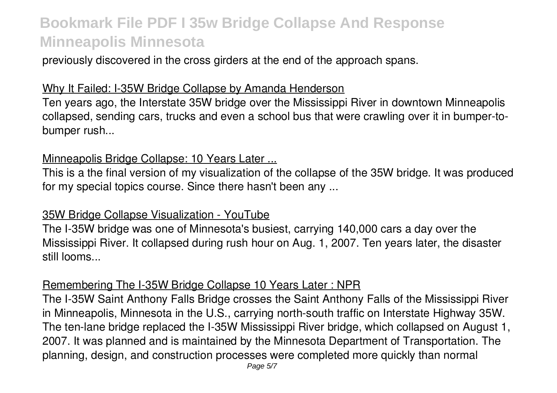previously discovered in the cross girders at the end of the approach spans.

### Why It Failed: I-35W Bridge Collapse by Amanda Henderson

Ten years ago, the Interstate 35W bridge over the Mississippi River in downtown Minneapolis collapsed, sending cars, trucks and even a school bus that were crawling over it in bumper-tobumper rush...

#### Minneapolis Bridge Collapse: 10 Years Later ...

This is a the final version of my visualization of the collapse of the 35W bridge. It was produced for my special topics course. Since there hasn't been any ...

#### 35W Bridge Collapse Visualization - YouTube

The I-35W bridge was one of Minnesota's busiest, carrying 140,000 cars a day over the Mississippi River. It collapsed during rush hour on Aug. 1, 2007. Ten years later, the disaster still looms...

#### Remembering The I-35W Bridge Collapse 10 Years Later : NPR

The I-35W Saint Anthony Falls Bridge crosses the Saint Anthony Falls of the Mississippi River in Minneapolis, Minnesota in the U.S., carrying north-south traffic on Interstate Highway 35W. The ten-lane bridge replaced the I-35W Mississippi River bridge, which collapsed on August 1, 2007. It was planned and is maintained by the Minnesota Department of Transportation. The planning, design, and construction processes were completed more quickly than normal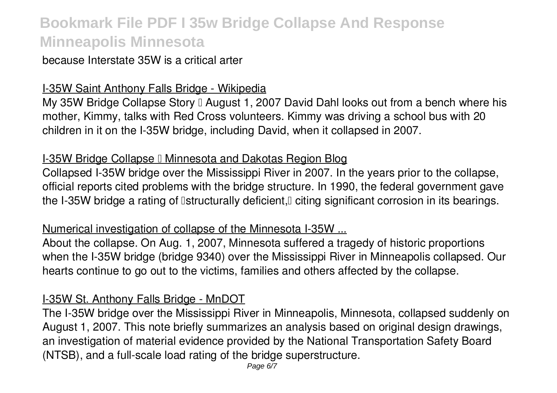### because Interstate 35W is a critical arter

### I-35W Saint Anthony Falls Bridge - Wikipedia

My 35W Bridge Collapse Story  $\mathbb I$  August 1, 2007 David Dahl looks out from a bench where his mother, Kimmy, talks with Red Cross volunteers. Kimmy was driving a school bus with 20 children in it on the I-35W bridge, including David, when it collapsed in 2007.

### **I-35W Bridge Collapse I Minnesota and Dakotas Region Blog**

Collapsed I-35W bridge over the Mississippi River in 2007. In the years prior to the collapse, official reports cited problems with the bridge structure. In 1990, the federal government gave the I-35W bridge a rating of **Istructurally deficient**, diting significant corrosion in its bearings.

### Numerical investigation of collapse of the Minnesota I-35W ...

About the collapse. On Aug. 1, 2007, Minnesota suffered a tragedy of historic proportions when the I-35W bridge (bridge 9340) over the Mississippi River in Minneapolis collapsed. Our hearts continue to go out to the victims, families and others affected by the collapse.

### I-35W St. Anthony Falls Bridge - MnDOT

The I-35W bridge over the Mississippi River in Minneapolis, Minnesota, collapsed suddenly on August 1, 2007. This note briefly summarizes an analysis based on original design drawings, an investigation of material evidence provided by the National Transportation Safety Board (NTSB), and a full-scale load rating of the bridge superstructure.